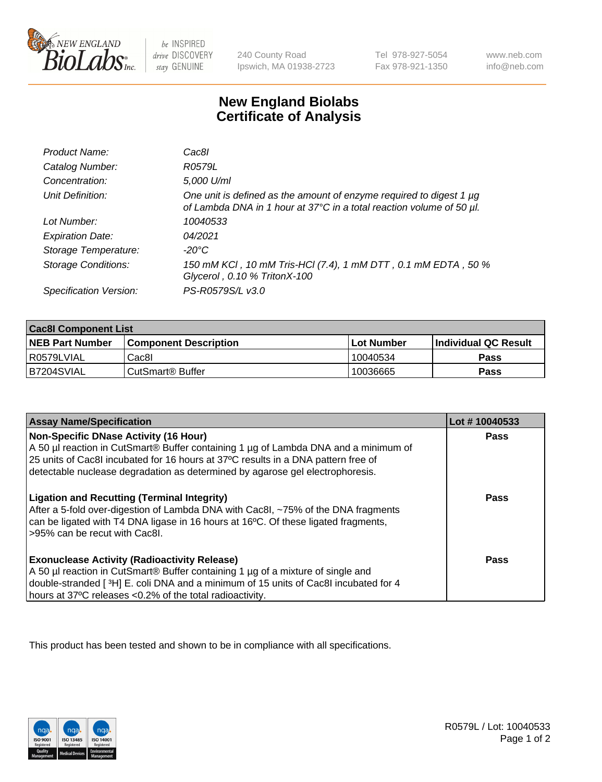

 $be$  INSPIRED drive DISCOVERY stay GENUINE

240 County Road Ipswich, MA 01938-2723 Tel 978-927-5054 Fax 978-921-1350 www.neb.com info@neb.com

## **New England Biolabs Certificate of Analysis**

| Product Name:              | Cac8l                                                                                                                                            |
|----------------------------|--------------------------------------------------------------------------------------------------------------------------------------------------|
| Catalog Number:            | R0579L                                                                                                                                           |
| Concentration:             | 5,000 U/ml                                                                                                                                       |
| Unit Definition:           | One unit is defined as the amount of enzyme required to digest 1 $\mu$ g<br>of Lambda DNA in 1 hour at 37°C in a total reaction volume of 50 µl. |
| Lot Number:                | 10040533                                                                                                                                         |
| <b>Expiration Date:</b>    | 04/2021                                                                                                                                          |
| Storage Temperature:       | -20°C                                                                                                                                            |
| <b>Storage Conditions:</b> | 150 mM KCI, 10 mM Tris-HCI (7.4), 1 mM DTT, 0.1 mM EDTA, 50 %<br>Glycerol, 0.10 % TritonX-100                                                    |
| Specification Version:     | PS-R0579S/L v3.0                                                                                                                                 |

| <b>Cac8I Component List</b> |                         |             |                             |  |
|-----------------------------|-------------------------|-------------|-----------------------------|--|
| <b>NEB Part Number</b>      | l Component Description | ⊺Lot Number | <b>Individual QC Result</b> |  |
| I R0579LVIAL                | Cac8I                   | 10040534    | Pass                        |  |
| B7204SVIAL                  | l CutSmart® Buffer      | 10036665    | Pass                        |  |

| <b>Assay Name/Specification</b>                                                                                                                                                                                                                                                                    | Lot #10040533 |
|----------------------------------------------------------------------------------------------------------------------------------------------------------------------------------------------------------------------------------------------------------------------------------------------------|---------------|
| Non-Specific DNase Activity (16 Hour)<br>A 50 µl reaction in CutSmart® Buffer containing 1 µg of Lambda DNA and a minimum of<br>25 units of Cac8I incubated for 16 hours at 37°C results in a DNA pattern free of<br>detectable nuclease degradation as determined by agarose gel electrophoresis. | Pass          |
| <b>Ligation and Recutting (Terminal Integrity)</b><br>After a 5-fold over-digestion of Lambda DNA with Cac8I, ~75% of the DNA fragments<br>can be ligated with T4 DNA ligase in 16 hours at 16°C. Of these ligated fragments,<br>>95% can be recut with Cac8I.                                     | Pass          |
| <b>Exonuclease Activity (Radioactivity Release)</b><br>A 50 µl reaction in CutSmart® Buffer containing 1 µg of a mixture of single and<br>double-stranded [3H] E. coli DNA and a minimum of 15 units of Cac8I incubated for 4<br>hours at 37°C releases <0.2% of the total radioactivity.          | Pass          |

This product has been tested and shown to be in compliance with all specifications.